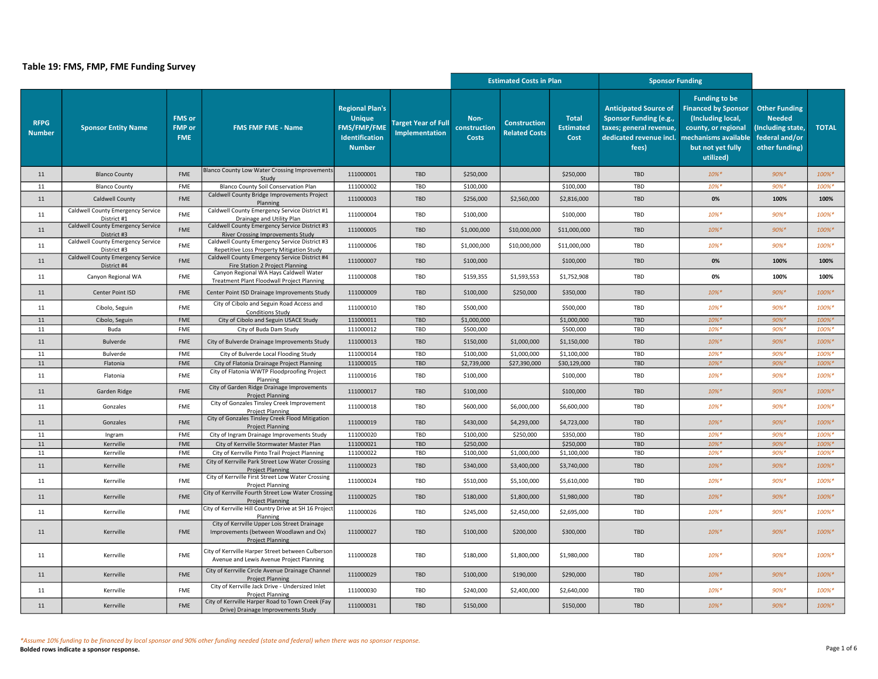|                              |                                                         |                                              |                                                                                                                   |                                                                                                  |                                                     | <b>Estimated Costs in Plan</b>       |                                             |                                          | <b>Sponsor Funding</b>                                                                                                |                                                                                                                                                          |                                                                                               |              |
|------------------------------|---------------------------------------------------------|----------------------------------------------|-------------------------------------------------------------------------------------------------------------------|--------------------------------------------------------------------------------------------------|-----------------------------------------------------|--------------------------------------|---------------------------------------------|------------------------------------------|-----------------------------------------------------------------------------------------------------------------------|----------------------------------------------------------------------------------------------------------------------------------------------------------|-----------------------------------------------------------------------------------------------|--------------|
| <b>RFPG</b><br><b>Number</b> | <b>Sponsor Entity Name</b>                              | <b>FMS</b> or<br><b>FMP</b> or<br><b>FME</b> | <b>FMS FMP FME - Name</b>                                                                                         | <b>Regional Plan's</b><br><b>Unique</b><br><b>FMS/FMP/FME</b><br>Identification<br><b>Number</b> | <b>Target Year of Full</b><br><b>Implementation</b> | Non-<br>construction<br><b>Costs</b> | <b>Construction</b><br><b>Related Costs</b> | <b>Total</b><br><b>Estimated</b><br>Cost | <b>Anticipated Source of</b><br>Sponsor Funding (e.g.,<br>taxes; general revenue,<br>dedicated revenue incl.<br>fees) | <b>Funding to be</b><br><b>Financed by Sponsor</b><br>(Including local,<br>county, or regional<br>mechanisms available<br>but not yet fully<br>utilized) | <b>Other Funding</b><br><b>Needed</b><br>Including state,<br>federal and/or<br>other funding) | <b>TOTAL</b> |
| 11                           | <b>Blanco County</b>                                    | FME                                          | <b>Blanco County Low Water Crossing Improvements</b><br>Study                                                     | 111000001                                                                                        | TBD                                                 | \$250,000                            |                                             | \$250,000                                | <b>TBD</b>                                                                                                            | $10\%*$                                                                                                                                                  | $90\%*$                                                                                       | 100%*        |
| 11                           | <b>Blanco County</b>                                    | FME                                          | Blanco County Soil Conservation Plan                                                                              | 111000002                                                                                        | TBD                                                 | \$100,000                            |                                             | \$100,000                                | TBD                                                                                                                   | 10%*                                                                                                                                                     | $90%$ *                                                                                       | 100%*        |
| $11\,$                       | Caldwell County                                         | FME                                          | Caldwell County Bridge Improvements Project<br>Planning                                                           | 111000003                                                                                        | TBD                                                 | \$256,000                            | \$2,560,000                                 | \$2,816,000                              | <b>TBD</b>                                                                                                            | 0%                                                                                                                                                       | 100%                                                                                          | 100%         |
| 11                           | Caldwell County Emergency Service<br>District #1        | FME                                          | Caldwell County Emergency Service District #1<br>Drainage and Utility Plan                                        | 111000004                                                                                        | TBD                                                 | \$100,000                            |                                             | \$100,000                                | TBD                                                                                                                   | 10%*                                                                                                                                                     | 90%*                                                                                          | 100%*        |
| $11\,$                       | Caldwell County Emergency Service<br>District #3        | <b>FME</b>                                   | Caldwell County Emergency Service District #3<br><b>River Crossing Improvements Study</b>                         | 111000005                                                                                        | <b>TBD</b>                                          | \$1,000,000                          | \$10,000,000                                | \$11,000,000                             | <b>TBD</b>                                                                                                            | $10\%*$                                                                                                                                                  | $90\%$ *                                                                                      | 100%*        |
| 11                           | Caldwell County Emergency Service<br>District #3        | <b>FME</b>                                   | Caldwell County Emergency Service District #3<br>Repetitive Loss Property Mitigation Study                        | 111000006                                                                                        | TBD                                                 | \$1,000,000                          | \$10,000,000                                | \$11,000,000                             | TBD                                                                                                                   | $10\%$ *                                                                                                                                                 | 90%*                                                                                          | 100%*        |
| 11                           | <b>Caldwell County Emergency Service</b><br>District #4 | <b>FME</b>                                   | Caldwell County Emergency Service District #4<br>Fire Station 2 Project Planning                                  | 111000007                                                                                        | <b>TBD</b>                                          | \$100,000                            |                                             | \$100,000                                | <b>TBD</b>                                                                                                            | 0%                                                                                                                                                       | 100%                                                                                          | 100%         |
| 11                           | Canyon Regional WA                                      | <b>FME</b>                                   | Canyon Regional WA Hays Caldwell Water<br>Treatment Plant Floodwall Project Planning                              | 111000008                                                                                        | TBD                                                 | \$159,355                            | \$1,593,553                                 | \$1,752,908                              | TBD                                                                                                                   | 0%                                                                                                                                                       | 100%                                                                                          | 100%         |
| 11                           | Center Point ISD                                        | <b>FME</b>                                   | Center Point ISD Drainage Improvements Study                                                                      | 111000009                                                                                        | TBD                                                 | \$100,000                            | \$250,000                                   | \$350,000                                | TBD                                                                                                                   | $10\%*$                                                                                                                                                  | 90%*                                                                                          | 100%*        |
| 11                           | Cibolo, Seguin                                          | FME                                          | City of Cibolo and Seguin Road Access and<br><b>Conditions Study</b>                                              | 111000010                                                                                        | TBD                                                 | \$500,000                            |                                             | \$500,000                                | TBD                                                                                                                   | 10%*                                                                                                                                                     | 90%*                                                                                          | 100%*        |
| 11                           | Cibolo, Seguin                                          | FME                                          | City of Cibolo and Seguin USACE Study                                                                             | 111000011                                                                                        | <b>TBD</b>                                          | \$1,000,000                          |                                             | \$1,000,000                              | <b>TBD</b>                                                                                                            | $10\%$ *                                                                                                                                                 | $90%$ *                                                                                       | 100%*        |
| 11                           | Buda                                                    | FME                                          | City of Buda Dam Study                                                                                            | 111000012                                                                                        | TBD                                                 | \$500,000                            |                                             | \$500,000                                | TBD                                                                                                                   | 10%*                                                                                                                                                     | 90%*                                                                                          | 100%*        |
| 11                           | Bulverde                                                | <b>FME</b>                                   | City of Bulverde Drainage Improvements Study                                                                      | 111000013                                                                                        | TBD                                                 | \$150,000                            | \$1,000,000                                 | \$1,150,000                              | <b>TBD</b>                                                                                                            | $10\%*$                                                                                                                                                  | $90\%$ *                                                                                      | 100%*        |
| 11                           | Bulverde                                                | FME                                          | City of Bulverde Local Flooding Study                                                                             | 111000014                                                                                        | TBD                                                 | \$100,000                            | \$1,000,000                                 | \$1,100,000                              | TBD                                                                                                                   | 10%*                                                                                                                                                     | 90%*                                                                                          | 100%*        |
| 11                           | Flatonia                                                | <b>FME</b>                                   | City of Flatonia Drainage Project Planning                                                                        | 111000015                                                                                        | TBD                                                 | \$2,739,000                          | \$27,390,000                                | \$30,129,000                             | <b>TBD</b>                                                                                                            | 10%*                                                                                                                                                     | $90%$ *                                                                                       | 100%*        |
| 11                           | Flatonia                                                | <b>FME</b>                                   | City of Flatonia WWTP Floodproofing Project<br>Planning                                                           | 111000016                                                                                        | TBD                                                 | \$100,000                            |                                             | \$100,000                                | TBD                                                                                                                   | 10%*                                                                                                                                                     | 90%*                                                                                          | 100%*        |
| 11                           | Garden Ridge                                            | <b>FME</b>                                   | City of Garden Ridge Drainage Improvements<br><b>Project Planning</b>                                             | 111000017                                                                                        | TBD                                                 | \$100,000                            |                                             | \$100,000                                | <b>TBD</b>                                                                                                            | $10\%$ *                                                                                                                                                 | 90%*                                                                                          | 100%*        |
| 11                           | Gonzales                                                | FME                                          | City of Gonzales Tinsley Creek Improvement<br><b>Project Planning</b>                                             | 111000018                                                                                        | TBD                                                 | \$600,000                            | \$6,000,000                                 | \$6,600,000                              | TBD                                                                                                                   | $10\%$ *                                                                                                                                                 | 90%*                                                                                          | 100%*        |
| 11                           | Gonzales                                                | FME                                          | City of Gonzales Tinsley Creek Flood Mitigation<br><b>Project Planning</b>                                        | 111000019                                                                                        | <b>TBD</b>                                          | \$430,000                            | \$4,293,000                                 | \$4,723,000                              | TBD                                                                                                                   | $10\%$ *                                                                                                                                                 | $90\%$ *                                                                                      | 100%*        |
| 11                           | Ingram                                                  | <b>FME</b>                                   | City of Ingram Drainage Improvements Study                                                                        | 111000020                                                                                        | TBD                                                 | \$100,000                            | \$250,000                                   | \$350,000                                | TBD                                                                                                                   | $10\%$ *                                                                                                                                                 | 90%*                                                                                          | 100%*        |
| 11                           | Kerrville                                               | FME                                          | City of Kerrville Stormwater Master Plan                                                                          | 111000021                                                                                        | TBD                                                 | \$250,000                            |                                             | \$250,000                                | <b>TBD</b>                                                                                                            | $10\%$ *                                                                                                                                                 | $90%$ *                                                                                       | 100%*        |
| 11                           | Kerrville                                               | <b>FME</b>                                   | City of Kerrville Pinto Trail Project Planning                                                                    | 111000022                                                                                        | TBD                                                 | \$100,000                            | \$1,000,000                                 | \$1,100,000                              | TBD                                                                                                                   | $10\%$ *                                                                                                                                                 | $90%$ *                                                                                       | 100%*        |
| 11                           | Kerrville                                               | <b>FME</b>                                   | City of Kerrville Park Street Low Water Crossing<br><b>Project Planning</b>                                       | 111000023                                                                                        | TBD                                                 | \$340,000                            | \$3,400,000                                 | \$3,740,000                              | TBD                                                                                                                   | $10\%*$                                                                                                                                                  | $90\%$ *                                                                                      | 100%*        |
| 11                           | Kerrville                                               | FME                                          | City of Kerrville First Street Low Water Crossing<br>Project Planning                                             | 111000024                                                                                        | TBD                                                 | \$510,000                            | \$5,100,000                                 | \$5,610,000                              | TBD                                                                                                                   | 10%*                                                                                                                                                     | 90%*                                                                                          | 100%*        |
| $11\,$                       | Kerrville                                               | FME                                          | City of Kerrville Fourth Street Low Water Crossing<br><b>Project Planning</b>                                     | 111000025                                                                                        | TBD                                                 | \$180,000                            | \$1,800,000                                 | \$1,980,000                              | <b>TBD</b>                                                                                                            | $10\%*$                                                                                                                                                  | $90\%$ *                                                                                      | 100%*        |
| 11                           | Kerrville                                               | FME                                          | City of Kerrville Hill Country Drive at SH 16 Project<br>Planning                                                 | 111000026                                                                                        | TBD                                                 | \$245,000                            | \$2,450,000                                 | \$2,695,000                              | TBD                                                                                                                   | $10\%$ *                                                                                                                                                 | 90%*                                                                                          | 100%*        |
| 11                           | Kerrville                                               | FME                                          | City of Kerrville Upper Lois Street Drainage<br>Improvements (between Woodlawn and Ox)<br><b>Project Planning</b> | 111000027                                                                                        | TBD                                                 | \$100,000                            | \$200,000                                   | \$300,000                                | TBD                                                                                                                   | $10\%$ *                                                                                                                                                 | 90%*                                                                                          | 100%*        |
| 11                           | Kerrville                                               | FME                                          | City of Kerrville Harper Street between Culberson<br>Avenue and Lewis Avenue Project Planning                     | 111000028                                                                                        | TBD                                                 | \$180,000                            | \$1,800,000                                 | \$1,980,000                              | TBD                                                                                                                   | $10\%$ *                                                                                                                                                 | 90%*                                                                                          | 100%*        |
| 11                           | Kerrville                                               | <b>FME</b>                                   | City of Kerrville Circle Avenue Drainage Channel<br><b>Project Planning</b>                                       | 111000029                                                                                        | TBD                                                 | \$100,000                            | \$190,000                                   | \$290,000                                | TBD                                                                                                                   | $10\%*$                                                                                                                                                  | $90%$ *                                                                                       | 100%*        |
| 11                           | Kerrville                                               | <b>FME</b>                                   | City of Kerrville Jack Drive - Undersized Inlet<br><b>Project Planning</b>                                        | 111000030                                                                                        | TBD                                                 | \$240,000                            | \$2,400,000                                 | \$2,640,000                              | TBD                                                                                                                   | 10%*                                                                                                                                                     | 90%*                                                                                          | 100%*        |
| 11                           | Kerrville                                               | <b>FME</b>                                   | City of Kerrville Harper Road to Town Creek (Fay<br>Drive) Drainage Improvements Study                            | 111000031                                                                                        | TBD                                                 | \$150,000                            |                                             | \$150,000                                | TBD                                                                                                                   | $10\%$ *                                                                                                                                                 | $90\%$ *                                                                                      | 100%*        |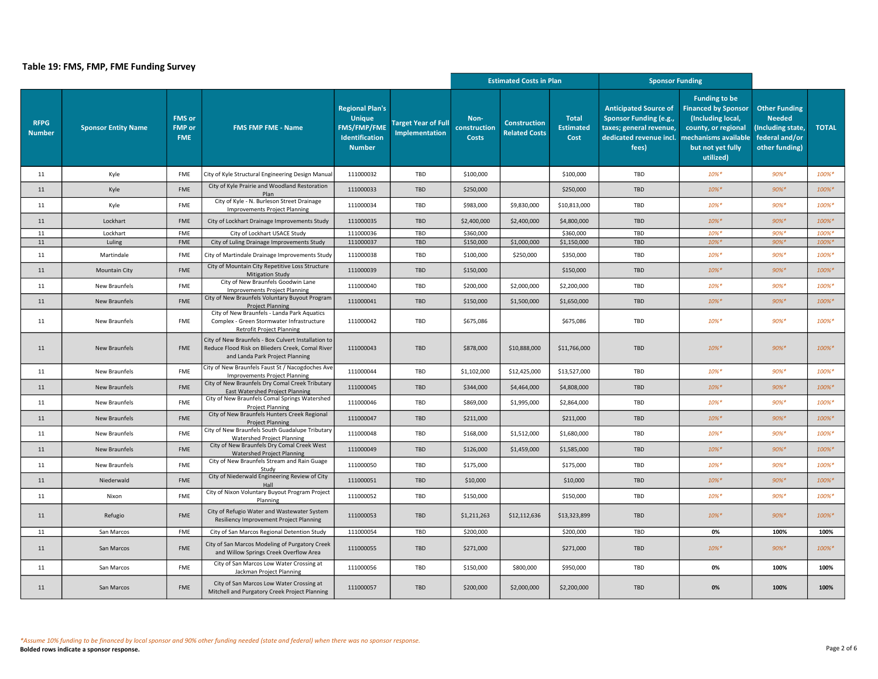|                              |                            |                                              |                                                                                                                                            |                                                                                                  |                                                     | <b>Estimated Costs in Plan</b>       |                                             |                                          | <b>Sponsor Funding</b>                                                                                                       |                                                                                                                                                          |                                                                                                |              |
|------------------------------|----------------------------|----------------------------------------------|--------------------------------------------------------------------------------------------------------------------------------------------|--------------------------------------------------------------------------------------------------|-----------------------------------------------------|--------------------------------------|---------------------------------------------|------------------------------------------|------------------------------------------------------------------------------------------------------------------------------|----------------------------------------------------------------------------------------------------------------------------------------------------------|------------------------------------------------------------------------------------------------|--------------|
| <b>RFPG</b><br><b>Number</b> | <b>Sponsor Entity Name</b> | <b>FMS</b> or<br><b>FMP</b> or<br><b>FME</b> | <b>FMS FMP FME - Name</b>                                                                                                                  | <b>Regional Plan's</b><br><b>Unique</b><br><b>FMS/FMP/FME</b><br>Identification<br><b>Number</b> | <b>Target Year of Full</b><br><b>Implementation</b> | Non-<br>construction<br><b>Costs</b> | <b>Construction</b><br><b>Related Costs</b> | <b>Total</b><br><b>Estimated</b><br>Cost | <b>Anticipated Source of</b><br><b>Sponsor Funding (e.g.,</b><br>taxes; general revenue,<br>dedicated revenue incl.<br>fees) | <b>Funding to be</b><br><b>Financed by Sponsor</b><br>(Including local,<br>county, or regional<br>mechanisms available<br>but not yet fully<br>utilized) | <b>Other Funding</b><br><b>Needed</b><br>(Including state,<br>federal and/or<br>other funding) | <b>TOTAL</b> |
| 11                           | Kyle                       | <b>FME</b>                                   | City of Kyle Structural Engineering Design Manua                                                                                           | 111000032                                                                                        | TBD                                                 | \$100,000                            |                                             | \$100,000                                | TBD                                                                                                                          | $10\%*$                                                                                                                                                  | $90%$ *                                                                                        | 100%*        |
| 11                           | Kyle                       | <b>FME</b>                                   | City of Kyle Prairie and Woodland Restoration<br>Plan                                                                                      | 111000033                                                                                        | TBD                                                 | \$250,000                            |                                             | \$250,000                                | <b>TBD</b>                                                                                                                   | $10\%*$                                                                                                                                                  | $90%$ *                                                                                        | 100%*        |
| 11                           | Kyle                       | FME                                          | City of Kyle - N. Burleson Street Drainage<br><b>Improvements Project Planning</b>                                                         | 111000034                                                                                        | TBD                                                 | \$983,000                            | \$9,830,000                                 | \$10,813,000                             | TBD                                                                                                                          | $10\%$ *                                                                                                                                                 | $90%$ *                                                                                        | 100%*        |
| 11                           | Lockhart                   | <b>FME</b>                                   | City of Lockhart Drainage Improvements Study                                                                                               | 111000035                                                                                        | <b>TBD</b>                                          | \$2,400,000                          | \$2,400,000                                 | \$4,800,000                              | <b>TBD</b>                                                                                                                   | $10\%$ *                                                                                                                                                 | $90\%$ *                                                                                       | 100%*        |
| 11                           | Lockhart                   | <b>FME</b>                                   | City of Lockhart USACE Study                                                                                                               | 111000036                                                                                        | TBD                                                 | \$360,000                            |                                             | \$360,000                                | TBD                                                                                                                          | $10\%$ *                                                                                                                                                 | $90%$ *                                                                                        | 100%*        |
| 11                           | Luling                     | FME                                          | City of Luling Drainage Improvements Study                                                                                                 | 111000037                                                                                        | TBD                                                 | \$150,000                            | \$1,000,000                                 | \$1,150,000                              | TBD                                                                                                                          | $10\%*$                                                                                                                                                  | $90%$ *                                                                                        | 100%*        |
| 11                           | Martindale                 | FME                                          | City of Martindale Drainage Improvements Study                                                                                             | 111000038                                                                                        | TBD                                                 | \$100,000                            | \$250,000                                   | \$350,000                                | TBD                                                                                                                          | $10\%$ *                                                                                                                                                 | $90%$ *                                                                                        | 100%*        |
| 11                           | <b>Mountain City</b>       | FME                                          | City of Mountain City Repetitive Loss Structure<br>Mitigation Study                                                                        | 111000039                                                                                        | TBD                                                 | \$150,000                            |                                             | \$150,000                                | TBD                                                                                                                          | $10\%*$                                                                                                                                                  | $90%$ *                                                                                        | 100%*        |
| 11                           | New Braunfels              | <b>FME</b>                                   | City of New Braunfels Goodwin Lane<br><b>Improvements Project Planning</b>                                                                 | 111000040                                                                                        | TBD                                                 | \$200,000                            | \$2,000,000                                 | \$2,200,000                              | TBD                                                                                                                          | $10\%$ *                                                                                                                                                 | $90%$ *                                                                                        | 100%*        |
| $11\,$                       | <b>New Braunfels</b>       | <b>FME</b>                                   | City of New Braunfels Voluntary Buyout Program<br><b>Project Planning</b>                                                                  | 111000041                                                                                        | <b>TBD</b>                                          | \$150,000                            | \$1,500,000                                 | \$1,650,000                              | <b>TBD</b>                                                                                                                   | $10\%*$                                                                                                                                                  | $90%$ *                                                                                        | 100%*        |
| 11                           | New Braunfels              | FME                                          | City of New Braunfels - Landa Park Aquatics<br>Complex - Green Stormwater Infrastructure<br><b>Retrofit Project Planning</b>               | 111000042                                                                                        | TBD                                                 | \$675,086                            |                                             | \$675,086                                | TBD                                                                                                                          | $10\%$ *                                                                                                                                                 | $90%$ *                                                                                        | 100%*        |
| 11                           | <b>New Braunfels</b>       | <b>FME</b>                                   | City of New Braunfels - Box Culvert Installation to<br>Reduce Flood Risk on Blieders Creek, Comal River<br>and Landa Park Project Planning | 111000043                                                                                        | TBD                                                 | \$878,000                            | \$10,888,000                                | \$11,766,000                             | TBD                                                                                                                          | $10\%$ *                                                                                                                                                 | $90\%$ *                                                                                       | 100%*        |
| 11                           | New Braunfels              | <b>FME</b>                                   | City of New Braunfels Faust St / Nacogdoches Ave<br><b>Improvements Project Planning</b>                                                   | 111000044                                                                                        | TBD                                                 | \$1,102,000                          | \$12,425,000                                | \$13,527,000                             | TBD                                                                                                                          | $10\%$ *                                                                                                                                                 | $90%$ *                                                                                        | 100%*        |
| 11                           | <b>New Braunfels</b>       | <b>FME</b>                                   | City of New Braunfels Dry Comal Creek Tributary<br>East Watershed Project Planning                                                         | 111000045                                                                                        | TBD                                                 | \$344,000                            | \$4,464,000                                 | \$4,808,000                              | <b>TBD</b>                                                                                                                   | $10\%*$                                                                                                                                                  | $90%$ *                                                                                        | 100%*        |
| 11                           | New Braunfels              | <b>FME</b>                                   | City of New Braunfels Comal Springs Watershed<br><b>Project Planning</b>                                                                   | 111000046                                                                                        | TBD                                                 | \$869,000                            | \$1,995,000                                 | \$2,864,000                              | TBD                                                                                                                          | $10\%$ *                                                                                                                                                 | $90%$ *                                                                                        | 100%*        |
| 11                           | <b>New Braunfels</b>       | <b>FME</b>                                   | City of New Braunfels Hunters Creek Regional<br><b>Project Planning</b>                                                                    | 111000047                                                                                        | TBD                                                 | \$211,000                            |                                             | \$211,000                                | TBD                                                                                                                          | $10\%*$                                                                                                                                                  | $90%$ *                                                                                        | 100%*        |
| 11                           | New Braunfels              | <b>FME</b>                                   | City of New Braunfels South Guadalupe Tributary<br><b>Watershed Project Planning</b>                                                       | 111000048                                                                                        | TBD                                                 | \$168,000                            | \$1,512,000                                 | \$1,680,000                              | TBD                                                                                                                          | $10\%*$                                                                                                                                                  | $90%$ *                                                                                        | 100%*        |
| 11                           | <b>New Braunfels</b>       | <b>FME</b>                                   | City of New Braunfels Dry Comal Creek West<br>Watershed Project Planning                                                                   | 111000049                                                                                        | TBD                                                 | \$126,000                            | \$1,459,000                                 | \$1,585,000                              | <b>TBD</b>                                                                                                                   | $10\%*$                                                                                                                                                  | $90%$ *                                                                                        | 100%*        |
| 11                           | New Braunfels              | <b>FME</b>                                   | City of New Braunfels Stream and Rain Guage<br>Study                                                                                       | 111000050                                                                                        | TBD                                                 | \$175,000                            |                                             | \$175,000                                | TBD                                                                                                                          | $10\%$ *                                                                                                                                                 | $90%$ *                                                                                        | 100%*        |
| 11                           | Niederwald                 | <b>FME</b>                                   | City of Niederwald Engineering Review of City<br>Hall                                                                                      | 111000051                                                                                        | TBD                                                 | \$10,000                             |                                             | \$10,000                                 | <b>TBD</b>                                                                                                                   | $10\%*$                                                                                                                                                  | $90%$ *                                                                                        | 100%*        |
| 11                           | Nixon                      | <b>FME</b>                                   | City of Nixon Voluntary Buyout Program Project<br>Planning                                                                                 | 111000052                                                                                        | TBD                                                 | \$150,000                            |                                             | \$150,000                                | TBD                                                                                                                          | $10\%$ *                                                                                                                                                 | $90%$ *                                                                                        | 100%*        |
| 11                           | Refugio                    | <b>FME</b>                                   | City of Refugio Water and Wastewater System<br>Resiliency Improvement Project Planning                                                     | 111000053                                                                                        | TBD                                                 | \$1,211,263                          | \$12,112,636                                | \$13,323,899                             | <b>TBD</b>                                                                                                                   | $10\%$ *                                                                                                                                                 | $90\%$ *                                                                                       | 100%*        |
| 11                           | San Marcos                 | <b>FME</b>                                   | City of San Marcos Regional Detention Study                                                                                                | 111000054                                                                                        | TBD                                                 | \$200,000                            |                                             | \$200,000                                | TBD                                                                                                                          | 0%                                                                                                                                                       | 100%                                                                                           | 100%         |
| 11                           | San Marcos                 | <b>FME</b>                                   | City of San Marcos Modeling of Purgatory Creek<br>and Willow Springs Creek Overflow Area                                                   | 111000055                                                                                        | TBD                                                 | \$271,000                            |                                             | \$271,000                                | TBD                                                                                                                          | $10\%$ *                                                                                                                                                 | $90\%$ *                                                                                       | 100%*        |
| 11                           | San Marcos                 | FME                                          | City of San Marcos Low Water Crossing at<br>Jackman Project Planning                                                                       | 111000056                                                                                        | TBD                                                 | \$150,000                            | \$800,000                                   | \$950,000                                | TBD                                                                                                                          | 0%                                                                                                                                                       | 100%                                                                                           | 100%         |
| 11                           | San Marcos                 | <b>FME</b>                                   | City of San Marcos Low Water Crossing at<br>Mitchell and Purgatory Creek Project Planning                                                  | 111000057                                                                                        | TBD                                                 | \$200,000                            | \$2,000,000                                 | \$2,200,000                              | <b>TBD</b>                                                                                                                   | 0%                                                                                                                                                       | 100%                                                                                           | 100%         |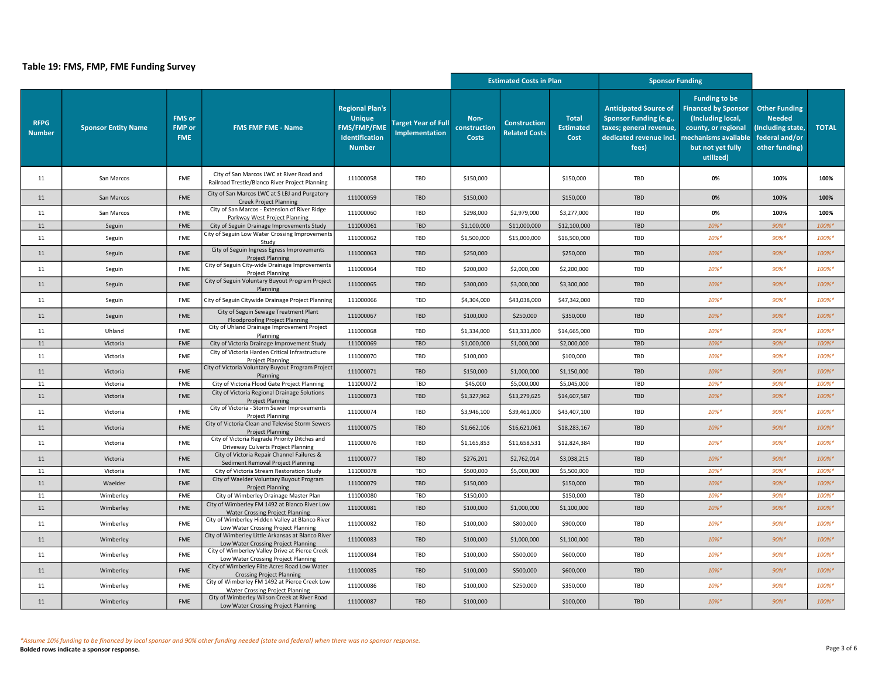|                              |                            |                                              |                                                                                            |                                                                                                  |                                                     | <b>Estimated Costs in Plan</b>       |                                             |                                          | <b>Sponsor Funding</b>                                                                                                                              |                                                                                                                                  |                                                                                                |              |
|------------------------------|----------------------------|----------------------------------------------|--------------------------------------------------------------------------------------------|--------------------------------------------------------------------------------------------------|-----------------------------------------------------|--------------------------------------|---------------------------------------------|------------------------------------------|-----------------------------------------------------------------------------------------------------------------------------------------------------|----------------------------------------------------------------------------------------------------------------------------------|------------------------------------------------------------------------------------------------|--------------|
| <b>RFPG</b><br><b>Number</b> | <b>Sponsor Entity Name</b> | <b>FMS or</b><br><b>FMP</b> or<br><b>FME</b> | <b>FMS FMP FME - Name</b>                                                                  | <b>Regional Plan's</b><br><b>Unique</b><br><b>FMS/FMP/FME</b><br>Identification<br><b>Number</b> | <b>Target Year of Full</b><br><b>Implementation</b> | Non-<br>construction<br><b>Costs</b> | <b>Construction</b><br><b>Related Costs</b> | <b>Total</b><br><b>Estimated</b><br>Cost | <b>Anticipated Source of</b><br><b>Sponsor Funding (e.g.,</b><br>taxes; general revenue,<br>dedicated revenue incl.   mechanisms available<br>fees) | <b>Funding to be</b><br><b>Financed by Sponsor</b><br>(Including local,<br>county, or regional<br>but not yet fully<br>utilized) | <b>Other Funding</b><br><b>Needed</b><br>(Including state,<br>federal and/or<br>other funding) | <b>TOTAL</b> |
| 11                           | San Marcos                 | FME                                          | City of San Marcos LWC at River Road and<br>Railroad Trestle/Blanco River Project Planning | 111000058                                                                                        | TBD                                                 | \$150,000                            |                                             | \$150,000                                | TBD                                                                                                                                                 | 0%                                                                                                                               | 100%                                                                                           | 100%         |
| 11                           | San Marcos                 | FME                                          | City of San Marcos LWC at S LBJ and Purgatory<br><b>Creek Project Planning</b>             | 111000059                                                                                        | TBD                                                 | \$150,000                            |                                             | \$150,000                                | TBD                                                                                                                                                 | 0%                                                                                                                               | 100%                                                                                           | 100%         |
| 11                           | San Marcos                 | <b>FME</b>                                   | City of San Marcos - Extension of River Ridge<br>Parkway West Project Planning             | 111000060                                                                                        | TBD                                                 | \$298,000                            | \$2,979,000                                 | \$3,277,000                              | TBD                                                                                                                                                 | 0%                                                                                                                               | 100%                                                                                           | 100%         |
| 11                           | Seguin                     | FME                                          | City of Seguin Drainage Improvements Study                                                 | 111000061                                                                                        | TBD                                                 | \$1,100,000                          | \$11,000,000                                | \$12,100,000                             | TBD                                                                                                                                                 | 10%*                                                                                                                             | $90%$ *                                                                                        | 100%*        |
| 11                           | Seguin                     | FME                                          | City of Seguin Low Water Crossing Improvements<br>Study                                    | 111000062                                                                                        | TBD                                                 | \$1,500,000                          | \$15,000,000                                | \$16,500,000                             | TBD                                                                                                                                                 | 10%*                                                                                                                             | 90%*                                                                                           | 100%*        |
| 11                           | Seguin                     | <b>FME</b>                                   | City of Seguin Ingress Egress Improvements<br><b>Project Planning</b>                      | 111000063                                                                                        | TBD                                                 | \$250,000                            |                                             | \$250,000                                | <b>TBD</b>                                                                                                                                          | $10\%$ *                                                                                                                         | $90%$ *                                                                                        | 100%*        |
| 11                           | Seguin                     | FME                                          | City of Seguin City-wide Drainage Improvements<br><b>Project Planning</b>                  | 111000064                                                                                        | TBD                                                 | \$200,000                            | \$2,000,000                                 | \$2,200,000                              | TBD                                                                                                                                                 | 10%*                                                                                                                             | $90%$ *                                                                                        | 100%*        |
| 11                           | Seguin                     | <b>FME</b>                                   | City of Seguin Voluntary Buyout Program Project<br>Planning                                | 111000065                                                                                        | <b>TBD</b>                                          | \$300,000                            | \$3,000,000                                 | \$3,300,000                              | <b>TBD</b>                                                                                                                                          | $10\%$ *                                                                                                                         | $90%$ *                                                                                        | 100%*        |
| 11                           | Seguin                     | FME                                          | City of Seguin Citywide Drainage Project Planning                                          | 111000066                                                                                        | TBD                                                 | \$4,304,000                          | \$43,038,000                                | \$47,342,000                             | TBD                                                                                                                                                 | $10\%$ *                                                                                                                         | $90%$ *                                                                                        | 100%*        |
| 11                           | Seguin                     | FME                                          | City of Seguin Sewage Treatment Plant<br><b>Floodproofing Project Planning</b>             | 111000067                                                                                        | TBD                                                 | \$100,000                            | \$250,000                                   | \$350,000                                | TBD                                                                                                                                                 | 10%*                                                                                                                             | 90%*                                                                                           | 100%*        |
| 11                           | Uhland                     | <b>FME</b>                                   | City of Uhland Drainage Improvement Project<br>Planning                                    | 111000068                                                                                        | TBD                                                 | \$1,334,000                          | \$13,331,000                                | \$14,665,000                             | TBD                                                                                                                                                 | $10\%$ *                                                                                                                         | 90%*                                                                                           | 100%*        |
| 11                           | Victoria                   | <b>FME</b>                                   | City of Victoria Drainage Improvement Study                                                | 111000069                                                                                        | TBD                                                 | \$1,000,000                          | \$1,000,000                                 | \$2,000,000                              | TBD                                                                                                                                                 | $10\%$ *                                                                                                                         | $90%$ *                                                                                        | 100%*        |
| 11                           | Victoria                   | <b>FME</b>                                   | City of Victoria Harden Critical Infrastructure<br><b>Project Planning</b>                 | 111000070                                                                                        | TBD                                                 | \$100,000                            |                                             | \$100,000                                | TBD                                                                                                                                                 | $10\%$ *                                                                                                                         | $90\%$ *                                                                                       | 100%*        |
| 11                           | Victoria                   | <b>FME</b>                                   | City of Victoria Voluntary Buyout Program Project<br>Planning                              | 111000071                                                                                        | <b>TBD</b>                                          | \$150,000                            | \$1,000,000                                 | \$1,150,000                              | <b>TBD</b>                                                                                                                                          | $10\%$ *                                                                                                                         | $90%$ *                                                                                        | 100%*        |
| 11                           | Victoria                   | FME                                          | City of Victoria Flood Gate Project Planning                                               | 111000072                                                                                        | TBD                                                 | \$45,000                             | \$5,000,000                                 | \$5,045,000                              | TBD                                                                                                                                                 | $10\%$ *                                                                                                                         | $90%$ *                                                                                        | 100%*        |
| 11                           | Victoria                   | <b>FME</b>                                   | City of Victoria Regional Drainage Solutions<br><b>Project Planning</b>                    | 111000073                                                                                        | TBD                                                 | \$1,327,962                          | \$13,279,625                                | \$14,607,587                             | <b>TBD</b>                                                                                                                                          | $10\%$ *                                                                                                                         | 90%*                                                                                           | 100%*        |
| 11                           | Victoria                   | FME                                          | City of Victoria - Storm Sewer Improvements<br><b>Project Planning</b>                     | 111000074                                                                                        | TBD                                                 | \$3,946,100                          | \$39,461,000                                | \$43,407,100                             | TBD                                                                                                                                                 | $10\%$ *                                                                                                                         | $90%$ *                                                                                        | 100%*        |
| 11                           | Victoria                   | <b>FME</b>                                   | City of Victoria Clean and Televise Storm Sewers<br><b>Project Planning</b>                | 111000075                                                                                        | <b>TBD</b>                                          | \$1,662,106                          | \$16,621,061                                | \$18,283,167                             | <b>TBD</b>                                                                                                                                          | $10\%$ *                                                                                                                         | $90%$ *                                                                                        | 100%*        |
| 11                           | Victoria                   | FME                                          | City of Victoria Regrade Priority Ditches and<br>Driveway Culverts Project Planning        | 111000076                                                                                        | TBD                                                 | \$1,165,853                          | \$11,658,531                                | \$12,824,384                             | TBD                                                                                                                                                 | $10\%$ *                                                                                                                         | $90%$ *                                                                                        | 100%*        |
| 11                           | Victoria                   | FME                                          | City of Victoria Repair Channel Failures &<br>Sediment Removal Project Planning            | 111000077                                                                                        | TBD                                                 | \$276,201                            | \$2,762,014                                 | \$3,038,215                              | <b>TBD</b>                                                                                                                                          | $10\%$ *                                                                                                                         | $90%$ *                                                                                        | 100%*        |
| 11                           | Victoria                   | FME                                          | City of Victoria Stream Restoration Study                                                  | 111000078                                                                                        | TBD                                                 | \$500,000                            | \$5,000,000                                 | \$5,500,000                              | TBD                                                                                                                                                 | $10\%$ *                                                                                                                         | $90\%$ *                                                                                       | 100%*        |
| 11                           | Waelder                    | FME                                          | City of Waelder Voluntary Buyout Program<br><b>Project Planning</b>                        | 111000079                                                                                        | TBD                                                 | \$150,000                            |                                             | \$150,000                                | <b>TBD</b>                                                                                                                                          | $10\%$ *                                                                                                                         | $90%$ *                                                                                        | 100%*        |
| 11                           | Wimberley                  | FME                                          | City of Wimberley Drainage Master Plan<br>City of Wimberley FM 1492 at Blanco River Low    | 111000080                                                                                        | TBD                                                 | \$150,000                            |                                             | \$150,000                                | TBD                                                                                                                                                 | $10\%$ *                                                                                                                         | $90\%$ *                                                                                       | 100%*        |
| 11                           | Wimberley                  | FME                                          | <b>Water Crossing Project Planning</b>                                                     | 111000081                                                                                        | TBD                                                 | \$100,000                            | \$1,000,000                                 | \$1,100,000                              | <b>TBD</b>                                                                                                                                          | 10%*                                                                                                                             | 90%*                                                                                           | 100%*        |
| 11                           | Wimberley                  | FME                                          | City of Wimberley Hidden Valley at Blanco River<br>Low Water Crossing Project Planning     | 111000082                                                                                        | TBD                                                 | \$100,000                            | \$800,000                                   | \$900,000                                | TBD                                                                                                                                                 | 10%*                                                                                                                             | 90%*                                                                                           | 100%*        |
| 11                           | Wimberley                  | <b>FME</b>                                   | City of Wimberley Little Arkansas at Blanco River<br>Low Water Crossing Project Planning   | 111000083                                                                                        | TBD                                                 | \$100,000                            | \$1,000,000                                 | \$1,100,000                              | <b>TBD</b>                                                                                                                                          | $10\%$ *                                                                                                                         | $90%$ *                                                                                        | 100%*        |
| 11                           | Wimberley                  | FME                                          | City of Wimberley Valley Drive at Pierce Creek<br>Low Water Crossing Project Planning      | 111000084                                                                                        | TBD                                                 | \$100,000                            | \$500,000                                   | \$600,000                                | TBD                                                                                                                                                 | 10%*                                                                                                                             | $90%$ *                                                                                        | 100%*        |
| 11                           | Wimberley                  | <b>FME</b>                                   | City of Wimberley Flite Acres Road Low Water<br><b>Crossing Project Planning</b>           | 111000085                                                                                        | TBD                                                 | \$100,000                            | \$500,000                                   | \$600,000                                | <b>TBD</b>                                                                                                                                          | $10\%$ *                                                                                                                         | $90\% *$                                                                                       | 100%*        |
| 11                           | Wimberley                  | <b>FME</b>                                   | City of Wimberley FM 1492 at Pierce Creek Low<br><b>Water Crossing Project Planning</b>    | 111000086                                                                                        | TBD                                                 | \$100,000                            | \$250,000                                   | \$350,000                                | TBD                                                                                                                                                 | $10\%$ *                                                                                                                         | $90%$ *                                                                                        | 100%*        |
| 11                           | Wimberley                  | FME                                          | City of Wimberley Wilson Creek at River Road<br>Low Water Crossing Project Planning        | 111000087                                                                                        | TBD                                                 | \$100,000                            |                                             | \$100,000                                | TBD                                                                                                                                                 | $10\%$ *                                                                                                                         | 90%*                                                                                           | 100%*        |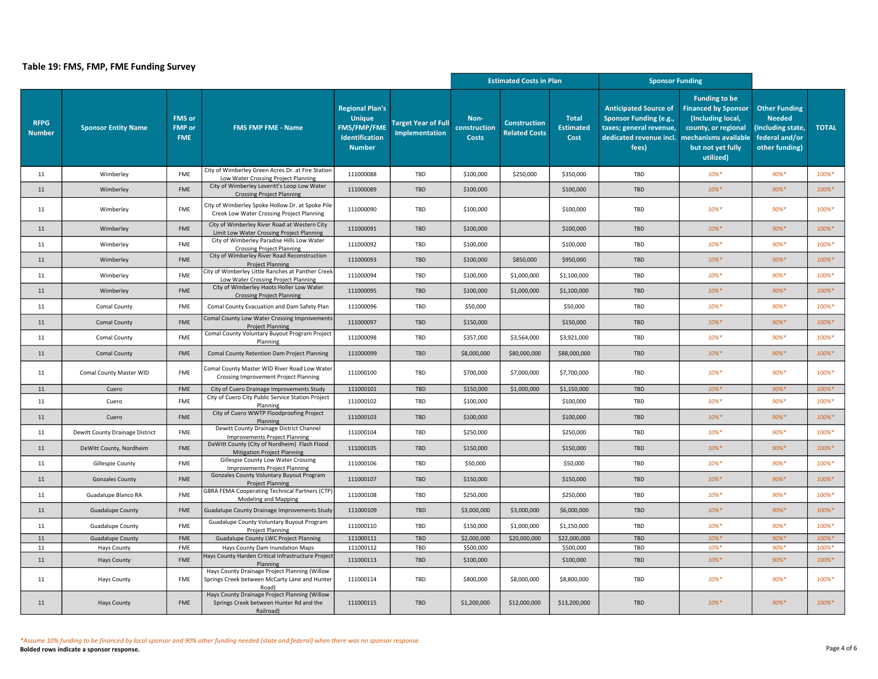|                              |                                 |                                              |                                                                                                       |                                                                                                  |                                                     | <b>Estimated Costs in Plan</b>       |                                             |                                          | <b>Sponsor Funding</b>                                                                                                                            |                                                                                                                                  |                                                                                                |              |
|------------------------------|---------------------------------|----------------------------------------------|-------------------------------------------------------------------------------------------------------|--------------------------------------------------------------------------------------------------|-----------------------------------------------------|--------------------------------------|---------------------------------------------|------------------------------------------|---------------------------------------------------------------------------------------------------------------------------------------------------|----------------------------------------------------------------------------------------------------------------------------------|------------------------------------------------------------------------------------------------|--------------|
| <b>RFPG</b><br><b>Number</b> | <b>Sponsor Entity Name</b>      | <b>FMS</b> or<br><b>FMP</b> or<br><b>FME</b> | <b>FMS FMP FME - Name</b>                                                                             | <b>Regional Plan's</b><br><b>Unique</b><br><b>FMS/FMP/FME</b><br>Identification<br><b>Number</b> | <b>Target Year of Full</b><br><b>Implementation</b> | Non-<br>construction<br><b>Costs</b> | <b>Construction</b><br><b>Related Costs</b> | <b>Total</b><br><b>Estimated</b><br>Cost | <b>Anticipated Source of</b><br><b>Sponsor Funding (e.g.,</b><br>taxes; general revenue,<br>dedicated revenue incl. mechanisms available<br>fees) | <b>Funding to be</b><br><b>Financed by Sponsor</b><br>(Including local,<br>county, or regional<br>but not yet fully<br>utilized) | <b>Other Funding</b><br><b>Needed</b><br>(Including state,<br>federal and/or<br>other funding) | <b>TOTAL</b> |
| 11                           | Wimberley                       | FME                                          | City of Wimberley Green Acres Dr. at Fire Station<br>Low Water Crossing Project Planning              | 111000088                                                                                        | TBD                                                 | \$100,000                            | \$250,000                                   | \$350,000                                | TBD                                                                                                                                               | $10\%$ *                                                                                                                         | $90%$ *                                                                                        | 100%*        |
| 11                           | Wimberley                       | FME                                          | City of Wimberley Leveritt's Loop Low Water<br><b>Crossing Project Planning</b>                       | 111000089                                                                                        | TBD                                                 | \$100,000                            |                                             | \$100,000                                | <b>TBD</b>                                                                                                                                        | $10\%*$                                                                                                                          | $90%$ *                                                                                        | 100%*        |
| 11                           | Wimberley                       | FME                                          | City of Wimberley Spoke Hollow Dr. at Spoke Pile<br>Creek Low Water Crossing Project Planning         | 111000090                                                                                        | TBD                                                 | \$100,000                            |                                             | \$100,000                                | TBD                                                                                                                                               | $10\%$ *                                                                                                                         | 90%*                                                                                           | 100%*        |
| 11                           | Wimberley                       | <b>FME</b>                                   | City of Wimberley River Road at Western City<br>Limit Low Water Crossing Project Planning             | 111000091                                                                                        | <b>TBD</b>                                          | \$100,000                            |                                             | \$100,000                                | <b>TBD</b>                                                                                                                                        | $10\%$ *                                                                                                                         | $90\% *$                                                                                       | 100%*        |
| 11                           | Wimberley                       | <b>FME</b>                                   | City of Wimberley Paradise Hills Low Water<br><b>Crossing Project Planning</b>                        | 111000092                                                                                        | TBD                                                 | \$100,000                            |                                             | \$100,000                                | TBD                                                                                                                                               | $10\%$ *                                                                                                                         | 90%*                                                                                           | 100%*        |
| 11                           | Wimberley                       | <b>FME</b>                                   | City of Wimberley River Road Reconstruction<br><b>Project Planning</b>                                | 111000093                                                                                        | TBD                                                 | \$100,000                            | \$850,000                                   | \$950,000                                | <b>TBD</b>                                                                                                                                        | $10\%*$                                                                                                                          | $90%$ *                                                                                        | 100%*        |
| 11                           | Wimberley                       | FME                                          | City of Wimberley Little Ranches at Panther Creek<br>Low Water Crossing Project Planning              | 111000094                                                                                        | TBD                                                 | \$100,000                            | \$1,000,000                                 | \$1,100,000                              | TBD                                                                                                                                               | 10%*                                                                                                                             | 90%*                                                                                           | 100%*        |
| 11                           | Wimberley                       | <b>FME</b>                                   | City of Wimberley Hoots Holler Low Water<br><b>Crossing Project Planning</b>                          | 111000095                                                                                        | TBD                                                 | \$100,000                            | \$1,000,000                                 | \$1,100,000                              | <b>TBD</b>                                                                                                                                        | $10\%*$                                                                                                                          | 90%*                                                                                           | 100%*        |
| 11                           | Comal County                    | <b>FME</b>                                   | Comal County Evacuation and Dam Safety Plan                                                           | 111000096                                                                                        | TBD                                                 | \$50,000                             |                                             | \$50,000                                 | TBD                                                                                                                                               | $10\%$ *                                                                                                                         | 90%*                                                                                           | 100%*        |
| 11                           | <b>Comal County</b>             | FME                                          | Comal County Low Water Crossing Improvements<br><b>Project Planning</b>                               | 111000097                                                                                        | TBD                                                 | \$150,000                            |                                             | \$150,000                                | TBD                                                                                                                                               | $10\%*$                                                                                                                          | $90%$ *                                                                                        | 100%*        |
| 11                           | Comal County                    | FME                                          | Comal County Voluntary Buyout Program Project<br>Planning                                             | 111000098                                                                                        | TBD                                                 | \$357,000                            | \$3,564,000                                 | \$3,921,000                              | TBD                                                                                                                                               | $10\%$ *                                                                                                                         | 90%*                                                                                           | 100%*        |
| 11                           | Comal County                    | FME                                          | Comal County Retention Dam Project Planning                                                           | 111000099                                                                                        | TBD                                                 | \$8,000,000                          | \$80,000,000                                | \$88,000,000                             | TBD                                                                                                                                               | $10\%*$                                                                                                                          | $90%$ *                                                                                        | 100%*        |
| 11                           | Comal County Master WID         | <b>FME</b>                                   | Comal County Master WID River Road Low Water<br>Crossing Improvement Project Planning                 | 111000100                                                                                        | TBD                                                 | \$700,000                            | \$7,000,000                                 | \$7,700,000                              | TBD                                                                                                                                               | $10\%$ *                                                                                                                         | $90\%$ *                                                                                       | 100%*        |
| 11                           | Cuero                           | FME                                          | City of Cuero Drainage Improvements Study                                                             | 111000101                                                                                        | TBD                                                 | \$150,000                            | \$1,000,000                                 | \$1,150,000                              | TBD                                                                                                                                               | $10\%*$                                                                                                                          | $90%$ *                                                                                        | 100%*        |
| 11                           | Cuero                           | FME                                          | City of Cuero City Public Service Station Project<br>Planning                                         | 111000102                                                                                        | TBD                                                 | \$100,000                            |                                             | \$100,000                                | TBD                                                                                                                                               | $10\%$ *                                                                                                                         | $90%$ *                                                                                        | 100%*        |
| 11                           | Cuero                           | <b>FME</b>                                   | City of Cuero WWTP Floodproofing Project<br>Planning                                                  | 111000103                                                                                        | TBD                                                 | \$100,000                            |                                             | \$100,000                                | <b>TBD</b>                                                                                                                                        | $10\%*$                                                                                                                          | $90%$ *                                                                                        | 100%*        |
| 11                           | Dewitt County Drainage District | FME                                          | Dewitt County Drainage District Channel<br><b>Improvements Project Planning</b>                       | 111000104                                                                                        | TBD                                                 | \$250,000                            |                                             | \$250,000                                | TBD                                                                                                                                               | $10\%$ *                                                                                                                         | 90%*                                                                                           | 100%*        |
| 11                           | DeWitt County, Nordheim         | FME                                          | DeWitt County (City of Nordheim) Flash Flood<br><b>Mitigation Project Planning</b>                    | 111000105                                                                                        | TBD                                                 | \$150,000                            |                                             | \$150,000                                | TBD                                                                                                                                               | $10\%*$                                                                                                                          | $90%$ *                                                                                        | 100%*        |
| 11                           | Gillespie County                | FME                                          | Gillespie County Low Water Crossing<br><b>Improvements Project Planning</b>                           | 111000106                                                                                        | TBD                                                 | \$50,000                             |                                             | \$50,000                                 | TBD                                                                                                                                               | $10\%$ *                                                                                                                         | 90%*                                                                                           | 100%*        |
| 11                           | <b>Gonzales County</b>          | <b>FME</b>                                   | Gonzales County Voluntary Buyout Program<br><b>Project Planning</b>                                   | 111000107                                                                                        | TBD                                                 | \$150,000                            |                                             | \$150,000                                | <b>TBD</b>                                                                                                                                        | $10\%$ *                                                                                                                         | $90\%$ *                                                                                       | 100%*        |
| 11                           | Guadalupe Blanco RA             | <b>FME</b>                                   | GBRA FEMA Cooperating Technical Partners (CTP<br>Modeling and Mapping                                 | 111000108                                                                                        | TBD                                                 | \$250,000                            |                                             | \$250,000                                | TBD                                                                                                                                               | $10\%*$                                                                                                                          | $90%$ *                                                                                        | 100%*        |
| 11                           | <b>Guadalupe County</b>         | <b>FME</b>                                   | <b>Guadalupe County Drainage Improvements Study</b>                                                   | 111000109                                                                                        | <b>TBD</b>                                          | \$3,000,000                          | \$3,000,000                                 | \$6,000,000                              | <b>TBD</b>                                                                                                                                        | $10\%$ *                                                                                                                         | $90%$ *                                                                                        | 100%*        |
| 11                           | <b>Guadalupe County</b>         | <b>FME</b>                                   | Guadalupe County Voluntary Buyout Program<br><b>Project Planning</b>                                  | 111000110                                                                                        | TBD                                                 | \$150,000                            | \$1,000,000                                 | \$1,150,000                              | TBD                                                                                                                                               | $10\%*$                                                                                                                          | 90%*                                                                                           | 100%*        |
| 11                           | <b>Guadalupe County</b>         | FME                                          | Guadalupe County LWC Project Planning                                                                 | 111000111                                                                                        | TBD                                                 | \$2,000,000                          | \$20,000,000                                | \$22,000,000                             | TBD                                                                                                                                               | $10\% *$                                                                                                                         | 90%*                                                                                           | 100%*        |
| 11                           | <b>Hays County</b>              | FME                                          | Hays County Dam Inundation Maps<br>Hays County Harden Critical Infrastructure Project                 | 111000112                                                                                        | TBD                                                 | \$500,000                            |                                             | \$500,000                                | TBD                                                                                                                                               | $10\%$ *                                                                                                                         | $90%$ *                                                                                        | 100%*        |
| 11                           | <b>Hays County</b>              | FME                                          | Planning<br>Hays County Drainage Project Planning (Willow                                             | 111000113                                                                                        | TBD                                                 | \$100,000                            |                                             | \$100,000                                | TBD                                                                                                                                               | $10\%*$                                                                                                                          | $90%$ *                                                                                        | 100%*        |
| 11                           | <b>Hays County</b>              | <b>FME</b>                                   | Springs Creek between McCarty Lane and Hunter<br>Road)                                                | 111000114                                                                                        | TBD                                                 | \$800,000                            | \$8,000,000                                 | \$8,800,000                              | TBD                                                                                                                                               | $10\%$ *                                                                                                                         | 90%*                                                                                           | 100%*        |
| 11                           | <b>Hays County</b>              | FME                                          | Hays County Drainage Project Planning (Willow<br>Springs Creek between Hunter Rd and the<br>Railroad) | 111000115                                                                                        | TBD                                                 | \$1,200,000                          | \$12,000,000                                | \$13,200,000                             | TBD                                                                                                                                               | $10\%*$                                                                                                                          | $90%$ *                                                                                        | 100%*        |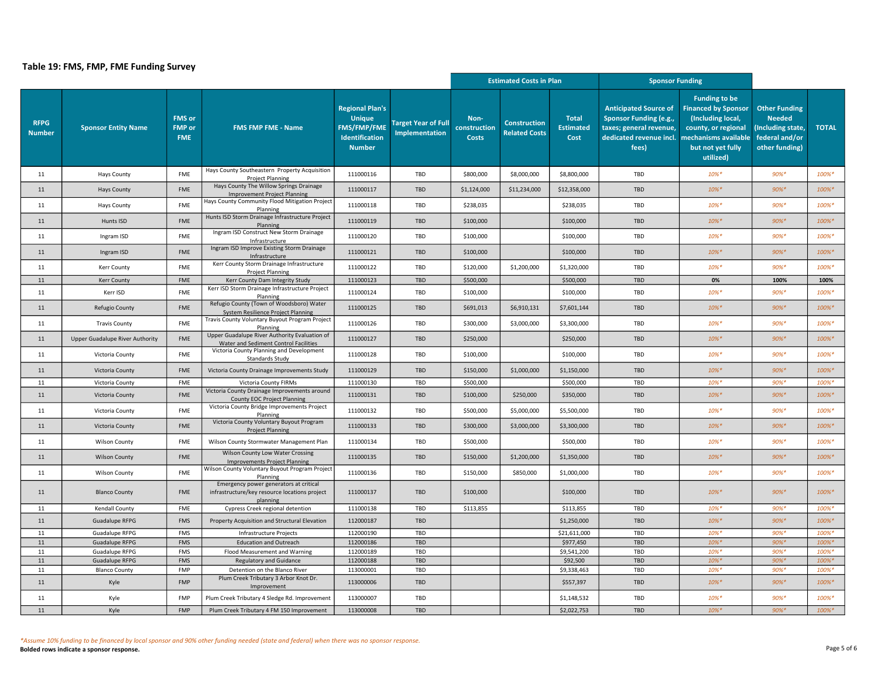|                              |                                 |                                              |                                                                                                     |                                                                                                  |                                                     | <b>Estimated Costs in Plan</b>       |                                             |                                          | <b>Sponsor Funding</b>                                                                                                                            |                                                                                                                                  |                                                                                                |              |
|------------------------------|---------------------------------|----------------------------------------------|-----------------------------------------------------------------------------------------------------|--------------------------------------------------------------------------------------------------|-----------------------------------------------------|--------------------------------------|---------------------------------------------|------------------------------------------|---------------------------------------------------------------------------------------------------------------------------------------------------|----------------------------------------------------------------------------------------------------------------------------------|------------------------------------------------------------------------------------------------|--------------|
| <b>RFPG</b><br><b>Number</b> | <b>Sponsor Entity Name</b>      | <b>FMS</b> or<br><b>FMP</b> or<br><b>FME</b> | <b>FMS FMP FME - Name</b>                                                                           | <b>Regional Plan's</b><br><b>Unique</b><br><b>FMS/FMP/FME</b><br>Identification<br><b>Number</b> | <b>Target Year of Full</b><br><b>Implementation</b> | Non-<br>construction<br><b>Costs</b> | <b>Construction</b><br><b>Related Costs</b> | <b>Total</b><br><b>Estimated</b><br>Cost | <b>Anticipated Source of</b><br><b>Sponsor Funding (e.g.,</b><br>taxes; general revenue,<br>dedicated revenue incl. mechanisms available<br>fees) | <b>Funding to be</b><br><b>Financed by Sponsor</b><br>(Including local,<br>county, or regional<br>but not yet fully<br>utilized) | <b>Other Funding</b><br><b>Needed</b><br>(Including state,<br>federal and/or<br>other funding) | <b>TOTAL</b> |
| 11                           | <b>Hays County</b>              | FME                                          | Hays County Southeastern Property Acquisition<br><b>Project Planning</b>                            | 111000116                                                                                        | TBD                                                 | \$800,000                            | \$8,000,000                                 | \$8,800,000                              | TBD                                                                                                                                               | $10\%$ *                                                                                                                         | $90%$ *                                                                                        | 100%*        |
| 11                           | <b>Hays County</b>              | <b>FME</b>                                   | Hays County The Willow Springs Drainage<br>Improvement Project Planning                             | 111000117                                                                                        | TBD                                                 | \$1,124,000                          | \$11,234,000                                | \$12,358,000                             | <b>TBD</b>                                                                                                                                        | $10\%*$                                                                                                                          | 90%*                                                                                           | 100%*        |
| 11                           | <b>Hays County</b>              | <b>FME</b>                                   | Hays County Community Flood Mitigation Project<br>Planning                                          | 111000118                                                                                        | TBD                                                 | \$238,035                            |                                             | \$238,035                                | TBD                                                                                                                                               | $10\%$ *                                                                                                                         | 90%*                                                                                           | 100%*        |
| 11                           | Hunts ISD                       | FME                                          | Hunts ISD Storm Drainage Infrastructure Project<br>Planning                                         | 111000119                                                                                        | TBD                                                 | \$100,000                            |                                             | \$100,000                                | TBD                                                                                                                                               | $10\%*$                                                                                                                          | $90%$ *                                                                                        | 100%*        |
| 11                           | Ingram ISD                      | <b>FME</b>                                   | Ingram ISD Construct New Storm Drainage<br>Infrastructure                                           | 111000120                                                                                        | TBD                                                 | \$100,000                            |                                             | \$100,000                                | TBD                                                                                                                                               | $10\%$ *                                                                                                                         | $90%$ *                                                                                        | 100%*        |
| 11                           | Ingram ISD                      | <b>FME</b>                                   | Ingram ISD Improve Existing Storm Drainage<br>Infrastructure                                        | 111000121                                                                                        | TBD                                                 | \$100,000                            |                                             | \$100,000                                | TBD                                                                                                                                               | $10\%*$                                                                                                                          | $90%$ *                                                                                        | 100%*        |
| 11                           | Kerr County                     | <b>FME</b>                                   | Kerr County Storm Drainage Infrastructure<br><b>Project Planning</b>                                | 111000122                                                                                        | TBD                                                 | \$120,000                            | \$1,200,000                                 | \$1,320,000                              | TBD                                                                                                                                               | $10\%$ *                                                                                                                         | 90%*                                                                                           | 100%*        |
| 11                           | <b>Kerr County</b>              | FME                                          | Kerr County Dam Integrity Study                                                                     | 111000123                                                                                        | TBD                                                 | \$500,000                            |                                             | \$500,000                                | TBD                                                                                                                                               | 0%                                                                                                                               | 100%                                                                                           | 100%         |
| 11                           | Kerr ISD                        | FME                                          | Kerr ISD Storm Drainage Infrastructure Project<br>Planning                                          | 111000124                                                                                        | TBD                                                 | \$100,000                            |                                             | \$100,000                                | TBD                                                                                                                                               | $10\%$ *                                                                                                                         | 90%*                                                                                           | 100%*        |
| 11                           | Refugio County                  | FME                                          | Refugio County (Town of Woodsboro) Water<br>System Resilience Project Planning                      | 111000125                                                                                        | TBD                                                 | \$691,013                            | \$6,910,131                                 | \$7,601,144                              | TBD                                                                                                                                               | $10\%*$                                                                                                                          | $90%$ *                                                                                        | 100%*        |
| 11                           | <b>Travis County</b>            | <b>FME</b>                                   | Travis County Voluntary Buyout Program Project<br>Planning                                          | 111000126                                                                                        | TBD                                                 | \$300,000                            | \$3,000,000                                 | \$3,300,000                              | TBD                                                                                                                                               | $10\%$ *                                                                                                                         | $90%$ *                                                                                        | 100%*        |
| 11                           | Upper Guadalupe River Authority | <b>FME</b>                                   | Upper Guadalupe River Authority Evaluation of<br>Water and Sediment Control Facilities              | 111000127                                                                                        | TBD                                                 | \$250,000                            |                                             | \$250,000                                | TBD                                                                                                                                               | $10\%*$                                                                                                                          | $90%$ *                                                                                        | 100%*        |
| 11                           | Victoria County                 | FME                                          | Victoria County Planning and Development<br>Standards Study                                         | 111000128                                                                                        | TBD                                                 | \$100,000                            |                                             | \$100,000                                | TBD                                                                                                                                               | $10\%*$                                                                                                                          | $90%$ *                                                                                        | 100%*        |
| 11                           | Victoria County                 | <b>FME</b>                                   | Victoria County Drainage Improvements Study                                                         | 111000129                                                                                        | TBD                                                 | \$150,000                            | \$1,000,000                                 | \$1,150,000                              | <b>TBD</b>                                                                                                                                        | 10%*                                                                                                                             | 90%*                                                                                           | 100%*        |
| 11                           | Victoria County                 | FME                                          | Victoria County FIRMs                                                                               | 111000130                                                                                        | TBD                                                 | \$500,000                            |                                             | \$500,000                                | TBD                                                                                                                                               | $10\%$ *                                                                                                                         | 90%*                                                                                           | 100%*        |
| 11                           | Victoria County                 | FME                                          | Victoria County Drainage Improvements around<br><b>County EOC Project Planning</b>                  | 111000131                                                                                        | TBD                                                 | \$100,000                            | \$250,000                                   | \$350,000                                | TBD                                                                                                                                               | $10\%*$                                                                                                                          | $90%$ *                                                                                        | 100%*        |
| 11                           | Victoria County                 | FME                                          | Victoria County Bridge Improvements Project<br>Planning                                             | 111000132                                                                                        | TBD                                                 | \$500,000                            | \$5,000,000                                 | \$5,500,000                              | TBD                                                                                                                                               | $10\%$ *                                                                                                                         | $90%$ *                                                                                        | 100%*        |
| 11                           | Victoria County                 | FME                                          | Victoria County Voluntary Buyout Program<br><b>Project Planning</b>                                 | 111000133                                                                                        | TBD                                                 | \$300,000                            | \$3,000,000                                 | \$3,300,000                              | TBD                                                                                                                                               | $10\%*$                                                                                                                          | $90%$ *                                                                                        | 100%*        |
| 11                           | <b>Wilson County</b>            | FME                                          | Wilson County Stormwater Management Plan                                                            | 111000134                                                                                        | TBD                                                 | \$500,000                            |                                             | \$500,000                                | TBD                                                                                                                                               | $10\%$ *                                                                                                                         | 90%*                                                                                           | 100%*        |
| 11                           | <b>Wilson County</b>            | FME                                          | Wilson County Low Water Crossing<br><b>Improvements Project Planning</b>                            | 111000135                                                                                        | TBD                                                 | \$150,000                            | \$1,200,000                                 | \$1,350,000                              | TBD                                                                                                                                               | 10%*                                                                                                                             | $90\%$ *                                                                                       | 100%*        |
| 11                           | <b>Wilson County</b>            | FME                                          | Wilson County Voluntary Buyout Program Project<br>Planning                                          | 111000136                                                                                        | TBD                                                 | \$150,000                            | \$850,000                                   | \$1,000,000                              | TBD                                                                                                                                               | $10\%*$                                                                                                                          | 90%*                                                                                           | 100%*        |
| 11                           | <b>Blanco County</b>            | FME                                          | Emergency power generators at critical<br>infrastructure/key resource locations project<br>planning | 111000137                                                                                        | TBD                                                 | \$100,000                            |                                             | \$100,000                                | TBD                                                                                                                                               | $10\%*$                                                                                                                          | 90%*                                                                                           | 100%*        |
| 11                           | Kendall County                  | FME                                          | Cypress Creek regional detention                                                                    | 111000138                                                                                        | TBD                                                 | \$113,855                            |                                             | \$113,855                                | TBD                                                                                                                                               | $10\%$ <sup>*</sup>                                                                                                              | 90%*                                                                                           | 100%*        |
| 11                           | <b>Guadalupe RFPG</b>           | <b>FMS</b>                                   | Property Acquisition and Structural Elevation                                                       | 112000187                                                                                        | TBD                                                 |                                      |                                             | \$1,250,000                              | TBD                                                                                                                                               | $10\%*$                                                                                                                          | $90%$ *                                                                                        | 100%*        |
| 11                           | <b>Guadalupe RFPG</b>           | FMS                                          | Infrastructure Projects                                                                             | 112000190                                                                                        | TBD                                                 |                                      |                                             | \$21,611,000                             | TBD                                                                                                                                               | $10\%$ *                                                                                                                         | 90%*                                                                                           | 100%*        |
| $11\,$                       | <b>Guadalupe RFPG</b>           | FMS                                          | <b>Education and Outreach</b>                                                                       | 112000186                                                                                        | TBD                                                 |                                      |                                             | \$977,450                                | TBD                                                                                                                                               | $10\%*$                                                                                                                          | $90%$ *                                                                                        | 100%*        |
| 11                           | Guadalupe RFPG                  | FMS                                          | Flood Measurement and Warning                                                                       | 112000189                                                                                        | TBD                                                 |                                      |                                             | \$9,541,200                              | TBD                                                                                                                                               | $10\%$ *                                                                                                                         | $90%$ *                                                                                        | 100%*        |
| $11\,$                       | Guadalupe RFPG                  | FMS                                          | <b>Regulatory and Guidance</b>                                                                      | 112000188                                                                                        | TBD                                                 |                                      |                                             | \$92,500                                 | TBD                                                                                                                                               | $10\%*$                                                                                                                          | 90%*                                                                                           | 100%*        |
| 11                           | <b>Blanco County</b>            | FMP                                          | Detention on the Blanco River                                                                       | 113000001                                                                                        | TBD                                                 |                                      |                                             | \$9,338,463                              | TBD                                                                                                                                               | $10\%$ *                                                                                                                         | 90%*                                                                                           | 100%*        |
| 11                           | Kyle                            | FMP                                          | Plum Creek Tributary 3 Arbor Knot Dr.<br>Improvement                                                | 113000006                                                                                        | TBD                                                 |                                      |                                             | \$557,397                                | TBD                                                                                                                                               | $10\%*$                                                                                                                          | $90%$ *                                                                                        | 100%*        |
| 11                           | Kyle                            | FMP                                          | Plum Creek Tributary 4 Sledge Rd. Improvement                                                       | 113000007                                                                                        | TBD                                                 |                                      |                                             | \$1,148,532                              | TBD                                                                                                                                               | $10\%$ *                                                                                                                         | 90%*                                                                                           | 100%*        |
| 11                           | Kyle                            | FMP                                          | Plum Creek Tributary 4 FM 150 Improvement                                                           | 113000008                                                                                        | TBD                                                 |                                      |                                             | \$2,022,753                              | TBD                                                                                                                                               | $10\%*$                                                                                                                          | $90%$ *                                                                                        | 100%*        |